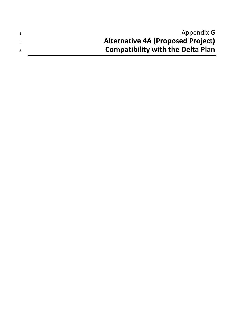| Appendix G                               |
|------------------------------------------|
| <b>Alternative 4A (Proposed Project)</b> |
| <b>Compatibility with the Delta Plan</b> |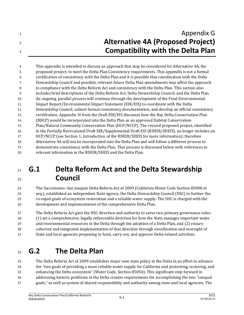## **Appendix G Alternative 4A (Proposed Project) Compatibility with the Delta Plan**

 This appendix is intended to discuss an approach that may be considered for Alternative 4A, the proposed project, to meet the Delta Plan Consistency requirements. This appendix is not a formal certification of consistency with the Delta Plan and it is possible that coordination with the Delta Stewardship Council and possible, relevant future Delta Plan amendments may affect the approach to compliance with the Delta Reform Act and consistency with the Delta Plan. This section also includes brief descriptions of the Delta Reform Act, Delta Stewardship Council, and the Delta Plan. An ongoing, parallel process will continue through the development of the Final Environmental Impact Report/Environmental Impact Statement (EIR/EIS) to coordinate with the Delta Stewardship Council, submit formal consistency documentation, and develop an official consistency certification. Appendix 3I from the Draft EIR/EIS discusses how the Bay Delta Conservation Plan (BDCP) would be incorporated into the Delta Plan as an approved Habitat Conservation Plan/Natural Community Conservation Plan (HCP/NCCP). The revised proposed project, identified in the Partially Recirculated Draft EIR/Supplemental Draft EIS (RDEIR/SDEIS), no longer includes an HCP/NCCP (see Section 1, *Introduction*, of the RDEIR/SDEIS for more information); therefore Alternative 4A will not be incorporated into the Delta Plan and will follow a different process to demonstrate consistency with the Delta Plan. That process is discussed below with references to relevant information in the RDEIR/SDEIS and the Delta Plan.

## **G.1 Delta Reform Act and the Delta Stewardship Council**

23 The Sacramento–San Joaquin Delta Reform Act of 2009 (California Water Code Section 85000 et seq.), established an independent State agency, the Delta Stewardship Council (DSC) to further the co-equal goals of ecosystem restoration and a reliable water supply. The DSC is charged with the development and implementation of the comprehensive Delta Plan.

 The Delta Reform Act gave the DSC direction and authority to serve two primary governance roles: (1) set a comprehensive, legally enforceable direction for how the State manages important water and environmental resources in the Delta through the adoption of a Delta Plan, and (2) ensure coherent and integrated implementation of that direction through coordination and oversight of

State and local agencies proposing to fund, carry out, and approve Delta-related activities.

# **G.2 The Delta Plan**

 The Delta Reform Act of 2009 establishes major new state policy in the Delta in an effort to advance the "two goals of providing a more reliable water supply for California and protecting, restoring, and enhancing the Delta ecosystem" (Water Code, Section 85054). This significant step forward in addressing historic problems in the Delta creates requirements for accomplishing the two "coequal goals," as well as system of shared responsibility and authority among state and local agencies. The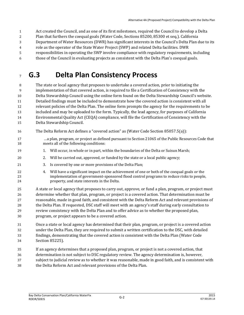- Act created the Council, and as one of its first milestones, required the Council to develop a Delta
- Plan that furthers the coequal goals (Water Code, Sections 85200, 85300 et seq.). California
- Department of Water Resources (DWR) has significant interests in the Council's Delta Plan due to its
- role as the operator of the State Water Project (SWP) and related Delta facilities. DWR
- responsibilities in operating the SWP involve compliance with regulatory requirements, including
- those of the Council in evaluating projects as consistent with the Delta Plan's coequal goals.

## **G.3 Delta Plan Consistency Process**

 The state or local agency that proposes to undertake a covered action, prior to initiating the implementation of that covered action, is required to file a Certification of Consistency with the Delta Stewardship Council using the online form found on the Delta Stewardship Council's website. Detailed findings must be included to demonstrate how the covered action is consistent with all relevant policies of the Delta Plan. The online form prompts the agency for the requirements to be included and may be uploaded to the form. Typically, the lead agency, for purposes of California Environmental Quality Act (CEQA) compliance, will file the Certification of Consistency with the Delta Stewardship Council.

- The Delta Reform Act defines a "covered action" as (Water Code Section 85057.5(a)):
- …a plan, program, or project as defined pursuant to Section 21065 of the Public Resources Code that meets all of the following conditions:
- 19 1. Will occur, in whole or in part, within the boundaries of the Delta or Suisun Marsh;
- 2. Will be carried out, approved, or funded by the state or a local public agency;
- 3. Is covered by one or more provisions of the Delta Plan;
- 4. Will have a significant impact on the achievement of one or both of the coequal goals or the implementation of government-sponsored flood control programs to reduce risks to people, property, and state interests in the Delta.
- A state or local agency that proposes to carry out, approve, or fund a plan, program, or project must determine whether that plan, program, or project is a covered action. That determination must be reasonable, made in good faith, and consistent with the Delta Reform Act and relevant provisions of the Delta Plan. If requested, DSC staff will meet with an agency's staff during early consultation to review consistency with the Delta Plan and to offer advice as to whether the proposed plan, program, or project appears to be a covered action.
- Once a state or local agency has determined that their plan, program, or project is a covered action under the Delta Plan, they are required to submit a written certification to the DSC, with detailed findings, demonstrating that the covered action is consistent with the Delta Plan (Water Code
- Section 85225).
- If an agency determines that a proposed plan, program, or project is not a covered action, that
- determination is not subject to DSC regulatory review. The agency determination is, however,
- subject to judicial review as to whether it was reasonable, made in good faith, and is consistent with
- the Delta Reform Act and relevant provisions of the Delta Plan.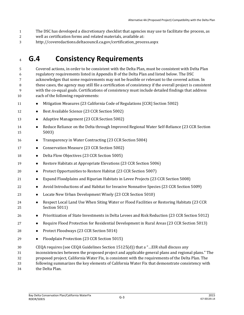- The DSC has developed a discretionary checklist that agencies may use to facilitate the process, as
- well as certification forms and related materials, available at:
- http://coveredactions.deltacouncil.ca.gov/certification\_process.aspx

## **G.4 Consistency Requirements**

 Covered actions, in order to be consistent with the Delta Plan, must be consistent with Delta Plan regulatory requirements listed in Appendix B of the Delta Plan and listed below. The DSC acknowledges that some requirements may not be feasible or relevant to the covered action. In these cases, the agency may still file a certification of consistency if the overall project is consistent with the co-equal goals. Certifications of consistency must include detailed findings that address each of the following requirements:

- 11 Mitigation Measures (23 California Code of Regulations [CCR] Section 5002)
- **Best Available Science (23 CCR Section 5002)**
- 13 Adaptive Management (23 CCR Section 5002)
- **•** Reduce Reliance on the Delta through Improved Regional Water Self-Reliance (23 CCR Section 5003)
- 16 Transparency in Water Contracting (23 CCR Section 5004)
- **•** Conservation Measure (23 CCR Section 5002)
- **Delta Flow Objectives (23 CCR Section 5005)**
- **Restore Habitats at Appropriate Elevations (23 CCR Section 5006)**
- 20 Protect Opportunities to Restore Habitat (23 CCR Section 5007)
- Expand Floodplains and Riparian Habitats in Levee Projects (23 CCR Section 5008)
- 22 Avoid Introductions of and Habitat for Invasive Nonnative Species (23 CCR Section 5009)
- **•** Locate New Urban Development Wisely (23 CCR Section 5010)
- Respect Local Land Use When Siting Water or Flood Facilities or Restoring Habitats (23 CCR Section 5011)
- **••** Prioritization of State Investments in Delta Levees and Risk Reduction (23 CCR Section 5012)
- **•** Require Flood Protection for Residential Development in Rural Areas (23 CCR Section 5013)
- 28 Protect Floodways (23 CCR Section 5014)
- 29 Floodplain Protection (23 CCR Section 5015)
- CEQA requires (see CEQA Guidelines Section 15125(d)) that a "…EIR shall discuss any
- inconsistencies between the proposed project and applicable general plans and regional plans." The
- proposed project, California Water Fix, is consistent with the requirements of the Delta Plan. The
- following summarizes the key elements of California Water Fix that demonstrate consistency with
- the Delta Plan.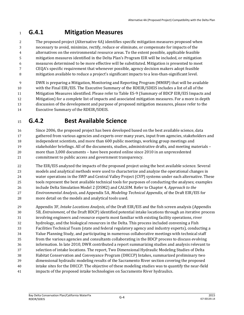#### **G.4.1 Mitigation Measures**

 The proposed project (Alternative 4A) identifies specific mitigation measures proposed when necessary to avoid, minimize, rectify, reduce or eliminate, or compensate for impacts of the alternatives on the environmental resource areas. To the extent possible, applicable feasible mitigation measures identified in the Delta Plan's Program EIR will be included, or mitigation measures determined to be more effective will be substituted. Mitigation is presented to meet CEQA's specific requirement that whenever possible, agency decision makers adopt feasible

mitigation available to reduce a project's significant impacts to a less-than-significant level.

 DWR is preparing a Mitigation, Monitoring and Reporting Program (MMRP) that will be available with the Final EIR/EIS. The Executive Summary of the RDEIR/SDEIS includes a list of all of the Mitigation Measures identified. Please refer to Table ES-9 (Summary of BDCP EIR/EIS Impacts and Mitigation) for a complete list of impacts and associated mitigation measures. For a more in depth discussion of the development and purpose of proposed mitigation measures, please refer to the Executive Summary of the RDEIR/SDEIS.

## **G.4.2 Best Available Science**

 Since 2006, the proposed project has been developed based on the best available science, data 17 gathered from various agencies and experts over many years, input from agencies, stakeholders and independent scientists, and more than 600 public meetings, working group meetings and

- stakeholder briefings. All of the documents, studies, administrative drafts, and meeting materials more than 3,000 documents – have been posted online since 2010 in an unprecedented commitment to public access and government transparency.
- The EIR/EIS analyzed the impacts of the proposed project using the best available science. Several models and analytical methods were used to characterize and analyze the operational changes in water operations in the SWP and Central Valley Project (CVP) systems under each alternative. These tools represent the best available technical tools for purposes of conducting the analyses; examples include Delta Simulation Model 2 (DSM2) and CALSIM. Refer to Chapter 4, *Approach to the Environmental Analysis*, and Appendix 5A, *Modeling Technical Appendix*, of the Draft EIR/EIS for more detail on the models and analytical tools used.
- Appendix 3F, *Intake Locations Analysis*, of the Draft EIR/EIS and the fish screen analysis (Appendix 5B, *Entrainment*, of the Draft BDCP) identified potential intake locations through an iterative process involving engineers and resource experts most familiar with existing facility operations, river hydrology, and the biological resources in the Delta. This process included convening a Fish Facilities Technical Team (state and federal regulatory agency and industry experts), conducting a Value Planning Study, and participating in numerous collaborative meetings with technical staff from the various agencies and consultants collaborating in the BDCP process to discuss evolving information. In late 2010, DWR contributed a report summarizing studies and analysis relevant to selection of intake locations. The report, Two Dimensional Hydraulic Modeling Studies of Delta Habitat Conservation and Conveyance Program (DHCCP) Intakes, summarized preliminary two dimensional hydraulic modeling results of the Sacramento River section covering the proposed intake sites for the DHCCP. The objective of these modeling studies was to quantify the near-field impacts of the proposed intake technologies on Sacramento River hydraulics.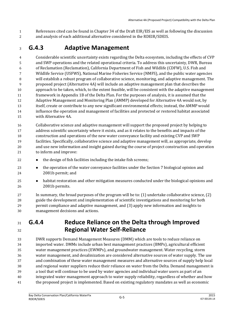References cited can be found in Chapter 34 of the Draft EIR/EIS as well as following the discussion and analysis of each additional alternative considered in the RDEIR/SDEIS.

## **G.4.3 Adaptive Management**

 Considerable scientific uncertainty exists regarding the Delta ecosystem, including the effects of CVP and SWP operations and the related operational criteria. To address this uncertainty, DWR, Bureau of Reclamation (Reclamation), California Department of Fish and Wildlife (CDFW), U.S. Fish and Wildlife Service (USFWS), National Marine Fisheries Service (NMFS), and the public water agencies will establish a robust program of collaborative science, monitoring, and adaptive management. The proposed project (Alternative 4A) will include an adaptive management plan that describes the approach to be taken, which, to the extent feasible, will be consistent with the adaptive management framework in Appendix 1B of the Delta Plan. For the purposes of analysis, it is assumed that the Adaptive Management and Monitoring Plan (AMMP) developed for Alternative 4A would not, by itself, create or contribute to any new significant environmental effects; instead, the AMMP would influence the operation and management of facilities and protected or restored habitat associated with Alternative 4A.

 Collaborative science and adaptive management will support the proposed project by helping to address scientific uncertainty where it exists, and as it relates to the benefits and impacts of the construction and operations of the new water conveyance facility and existing CVP and SWP facilities. Specifically, collaborative science and adaptive management will, as appropriate, develop and use new information and insight gained during the course of project construction and operation to inform and improve:

- **the design of fish facilities including the intake fish screens;**
- **the operation of the water conveyance facilities under the Section 7 biological opinion and** 2081b permit; and
- **•** habitat restoration and other mitigation measures conducted under the biological opinions and 2081b permits.

 In summary, the broad purposes of the program will be to: (1) undertake collaborative science, (2) guide the development and implementation of scientific investigations and monitoring for both permit compliance and adaptive management, and (3) apply new information and insights to management decisions and actions.

#### **G.4.4 Reduce Reliance on the Delta through Improved Regional Water Self-Reliance**

 DWR supports Demand Management Measures (DMM) which are tools to reduce reliance on imported water. DMMs include urban best management practices (BMPs), agricultural efficient water management practices (EWMPs), and groundwater management. Water recycling, storm water management, and desalinization are considered alternative sources of water supply. The use and combination of these water management measures and alternative sources of supply help local and regional water suppliers reduce their reliance on water from the Delta. Demand management is a tool that will continue to be used by water agencies and individual water users as part of an integrated water management approach to water supply reliability, regardless of whether and how the proposed project is implemented. Based on existing regulatory mandates as well as economic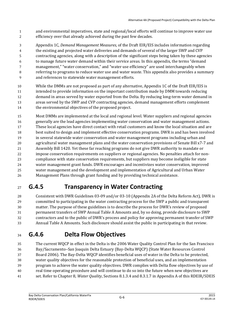- and environmental imperatives, state and regional/local efforts will continue to improve water use efficiency over that already achieved during the past few decades.
- Appendix 1C, *Demand Management Measures*, of the Draft EIR/EIS includes information regarding the existing and projected water deliveries and demands of several of the larger SWP and CVP contracting agencies, along with a description of the significant steps being taken by these agencies
- to manage future water demand within their service areas. In this appendix, the terms "demand
- management," "water conservation," and "water use efficiency" are used interchangeably when referring to programs to reduce water use and water waste. This appendix also provides a summary
- and references to statewide water management efforts.
- While the DMMs are not proposed as part of any alternative, Appendix 1C of the Draft EIR/EIS is intended to provide information on the important contribution made by DMM towards reducing demand in areas served by water exported from the Delta. By reducing long-term water demand in areas served by the SWP and CVP contracting agencies, demand management efforts complement the environmental objectives of the proposed project.
- Most DMMs are implemented at the local and regional level. Water suppliers and regional agencies generally are the lead agencies implementing water conservation and water management actions. These local agencies have direct contact with retail customers and know the local situation and are best suited to design and implement effective conservation programs. DWR is and has been involved in several statewide water conservation and water management programs including urban and agricultural water management plans and the water conservation provisions of Senate Bill x7-7 and Assembly Bill 1420. Yet these far reaching programs do not give DWR authority to mandate or impose conservation requirements on suppliers or regional agencies. No penalties attach for non- compliance with state conservation requirements, but suppliers may become ineligible for state water management grant funds. DWR encourages and incentivizes water conservation, improved water management and the development and implementation of Agricultural and Urban Water Management Plans through grant funding and by providing technical assistance.

## **G.4.5 Transparency in Water Contracting**

 Consistent with DWR Guidelines 03-09 and/or 03-10 (Appendix 2A of the Delta Reform Act), DWR is committed to participating in the water contracting process for the SWP a public and transparent matter. The purpose of these guidelines is to describe the process for DWR's review of proposed permanent transfers of SWP Annual Table A Amounts and, by so doing, provide disclosure to SWP contractors and to the public of DWR's process and policy for approving permanent transfer of SWP Annual Table A Amounts. Such disclosure should assist the public in participating in that review.

### **G.4.6 Delta Flow Objectives**

 The current WQCP in effect in the Delta is the 2006 Water Quality Control Plan for the San Francisco Bay/Sacramento–San Joaquin Delta Estuary (Bay-Delta WQCP) (State Water Resources Control Board 2006). The Bay-Delta WQCP identifies beneficial uses of water in the Delta to be protected, water quality objectives for the reasonable protection of beneficial uses, and an implementation program to achieve the water quality objectives. DWR complies with Delta flow objectives by use of real time operating procedure and will continue to do so into the future when new objectives are set. Refer to Chapter 8, *Water Quality*, Sections 8.1.3.4 and 8.3.1.7 in Appendix A of this RDEIR/SDEIS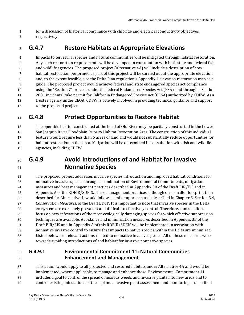- for a discussion of historical compliance with chloride and electrical conductivity objectives,
- respectively.

## **G.4.7 Restore Habitats at Appropriate Elevations**

 Impacts to terrestrial species and natural communities will be mitigated through habitat restoration. Any such restoration requirements will be developed in consultation with both state and federal fish and wildlife agencies. The proposed project (Alternative 4A) will include a description of how habitat restoration performed as part of this project will be carried out at the appropriate elevation, and, to the extent feasible, use the Delta Plan regulation's Appendix 4 elevation restoration map as a guide. The proposed project would achieve federal and state endangered species act compliance using the "Section 7" process under the federal Endangered Species Act (ESA), and through a Section 2081 incidental take permit for California Endangered Species Act (CESA) authorized by CDFW. As a trustee agency under CEQA, CDFW is actively involved in providing technical guidance and support to the proposed project.

## **G.4.8 Protect Opportunities to Restore Habitat**

 The operable barrier constructed at the head of Old River may be partially constructed in the Lower San Joaquin River Floodplain Priority Habitat Restoration Area. The construction of this individual feature would require less than 6 acres of land and would not substantially reduce opportunities for habitat restoration in this area. Mitigation will be determined in consultation with fish and wildlife agencies, including CDFW.

### **G.4.9 Avoid Introductions of and Habitat for Invasive Nonnative Species**

 The proposed project addresses invasive species introduction and improved habitat conditions for nonnative invasive species through a combination of Environmental Commitments, mitigation measures and best management practices described in Appendix 3B of the Draft EIR/EIS and in Appendix A of the RDEIR/SDEIS. These management practices, although on a smaller footprint than described for Alternative 4, would follow a similar approach as is described in Chapter 3, Section 3.4, *Conservation Measures*, of the Draft BDCP. It is important to note that invasive species in the Delta ecosystem are extremely prevalent and difficult to effectively control. Therefore, control efforts focus on new infestations of the most ecologically damaging species for which effective suppression techniques are available. Avoidance and minimization measures described in Appendix 3B of the Draft EIR/EIS and in Appendix A of this RDEIR/SDEIS will be implemented in association with nonnative invasive control to ensure that impacts to native species within the Delta are minimized. Listed below are relevant actions related to nonnative invasive species. All of these measures work towards avoiding introductions of and habitat for invasive nonnative species.

#### **G.4.9.1 Environmental Commitment 11: Natural Communities Enhancement and Management**

 This action would apply to all protected and restored habitats under Alternative 4A and would be implemented, where applicable, to manage and enhance these. Environmental Commitment 11 includes a goal to control the spread of noxious weeds and invasive plants into new areas and to control existing infestations of these plants. Invasive plant assessment and monitoring is described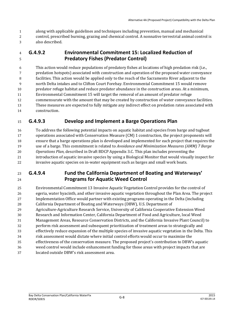- along with applicable guidelines and techniques including prevention, manual and mechanical
- control, prescribed burning, grazing and chemical control. A nonnative terrestrial animal control is also described.

#### **G.4.9.2 Environmental Commitment 15: Localized Reduction of Predatory Fishes (Predator Control)**

 This action would reduce populations of predatory fishes at locations of high predation risk (i.e., predation hotspots) associated with construction and operation of the proposed water conveyance facilities. This action would be applied only to the reach of the Sacramento River adjacent to the north Delta intakes and to Clifton Court Forebay. Environmental Commitment 15 would remove predator refuge habitat and reduce predator abundance in the construction areas. At a minimum, Environmental Commitment 15 will target the removal of an amount of predator refuge commensurate with the amount that may be created by construction of water conveyance facilities. These measures are expected to fully mitigate any indirect effect on predation rates associated with construction.

#### **G.4.9.3 Develop and Implement a Barge Operations Plan**

 To address the following potential impacts on aquatic habitat and species from barge and tugboat operations associated with Conservation Measure (CM) 1 construction, the project proponents will ensure that a barge operations plan is developed and implemented for each project that requires the use of a barge. This commitment is related to *Avoidance and Minimization Measures (AMM) 7 Barge Operations Plan,* described in Draft BDCP Appendix 3.C. This plan includes preventing the introduction of aquatic invasive species by using a Biological Monitor that would visually inspect for invasive aquatic species on in-water equipment such as barges and small work boats.

#### **G.4.9.4 Fund the California Department of Boating and Waterways' Programs for Aquatic Weed Control**

 Environmental Commitment 13 Invasive Aquatic Vegetation Control provides for the control of egeria, water hyacinth, and other invasive aquatic vegetation throughout the Plan Area. The project Implementation Office would partner with existing programs operating in the Delta (including California Department of Boating and Waterways (DBW), U.S. Department of Agriculture‐Agriculture Research Service, University of California Cooperative Extension Weed Research and Information Center, California Department of Food and Agriculture, local Weed Management Areas, Resource Conservation Districts, and the California Invasive Plant Council) to perform risk assessment and subsequent prioritization of treatment areas to strategically and effectively reduce expansion of the multiple species of invasive aquatic vegetation in the Delta. This risk assessment would dictate where initial control efforts would occur to maximize the effectiveness of the conservation measure. The proposed project's contribution to DBW's aquatic weed control would include enhancement funding for those areas with project impacts that are located outside DBW's risk assessment area.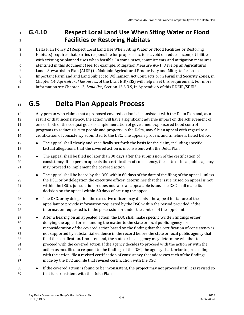#### **G.4.10 Respect Local Land Use When Siting Water or Flood Facilities or Restoring Habitats**

 Delta Plan Policy 2 (Respect Local Land Use When Siting Water or Flood Facilities or Restoring Habitats) requires that parties responsible for proposed actions avoid or reduce incompatibilities with existing or planned uses when feasible. In some cases, commitments and mitigation measures identified in this document (see, for example, Mitigation Measure AG‐1: Develop an Agricultural Lands Stewardship Plan (ALSP) to Maintain Agricultural Productivity and Mitigate for Loss of Important Farmland and Land Subject to Williamson Act Contracts or in Farmland Security Zones, in

Chapter 14, *Agricultural Resources*, of the Draft EIR/EIS) will help meet this requirement. For more

information see Chapter 13, *Land Use*, Section 13.3.3.9, in Appendix A of this RDEIR/SDEIS.

# **G.5 Delta Plan Appeals Process**

 Any person who claims that a proposed covered action is inconsistent with the Delta Plan and, as a result of that inconsistency, the action will have a significant adverse impact on the achievement of one or both of the coequal goals or implementation of government-sponsored flood control programs to reduce risks to people and property in the Delta, may file an appeal with regard to a certification of consistency submitted to the DSC. The appeals process and timeline is listed below.

- **•** The appeal shall clearly and specifically set forth the basis for the claim, including specific factual allegations, that the covered action is inconsistent with the Delta Plan.
- The appeal shall be filed no later than 30 days after the submission of the certification of consistency. If no person appeals the certification of consistency, the state or local public agency may proceed to implement the covered action.
- **•** The appeal shall be heard by the DSC within 60 days of the date of the filing of the appeal, unless the DSC, or by delegation the executive officer, determines that the issue raised on appeal is not within the DSC's jurisdiction or does not raise an appealable issue. The DSC shall make its decision on the appeal within 60 days of hearing the appeal.
- 26 The DSC, or by delegation the executive officer, may dismiss the appeal for failure of the appellant to provide information requested by the DSC within the period provided, if the information requested is in the possession or under the control of the appellant.
- **After a hearing on an appealed action, the DSC shall make specific written findings either**  denying the appeal or remanding the matter to the state or local public agency for reconsideration of the covered action based on the finding that the certification of consistency is not supported by substantial evidence in the record before the state or local public agency that filed the certification. Upon remand, the state or local agency may determine whether to proceed with the covered action. If the agency decides to proceed with the action or with the action as modified to respond to the findings of the DSC, the agency shall, prior to proceeding with the action, file a revised certification of consistency that addresses each of the findings made by the DSC and file that revised certification with the DSC.
- **If the covered action is found to be inconsistent, the project may not proceed until it is revised so** that it is consistent with the Delta Plan.